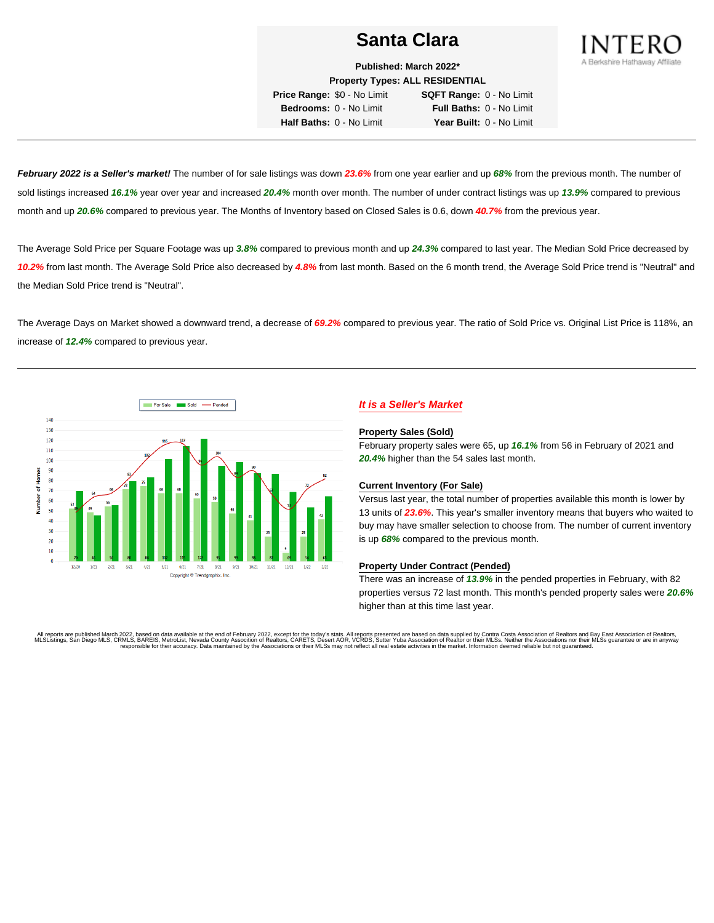

**Published: March 2022\***

**Property Types: ALL RESIDENTIAL Price Range:** \$0 - No Limit **SQFT Range:** 0 - No Limit **Bedrooms:** 0 - No Limit **Full Baths:** 0 - No Limit

**Half Baths:** 0 - No Limit **Year Built:** 0 - No Limit

**February 2022 is a Seller's market!** The number of for sale listings was down **23.6%** from one year earlier and up **68%** from the previous month. The number of sold listings increased **16.1%** year over year and increased **20.4%** month over month. The number of under contract listings was up **13.9%** compared to previous month and up **20.6%** compared to previous year. The Months of Inventory based on Closed Sales is 0.6, down **40.7%** from the previous year.

The Average Sold Price per Square Footage was up **3.8%** compared to previous month and up **24.3%** compared to last year. The Median Sold Price decreased by **10.2%** from last month. The Average Sold Price also decreased by **4.8%** from last month. Based on the 6 month trend, the Average Sold Price trend is "Neutral" and the Median Sold Price trend is "Neutral".

The Average Days on Market showed a downward trend, a decrease of **69.2%** compared to previous year. The ratio of Sold Price vs. Original List Price is 118%, an increase of **12.4%** compared to previous year.



## **It is a Seller's Market**

#### **Property Sales (Sold)**

February property sales were 65, up **16.1%** from 56 in February of 2021 and **20.4%** higher than the 54 sales last month.

### **Current Inventory (For Sale)**

Versus last year, the total number of properties available this month is lower by 13 units of **23.6%**. This year's smaller inventory means that buyers who waited to buy may have smaller selection to choose from. The number of current inventory is up **68%** compared to the previous month.

### **Property Under Contract (Pended)**

There was an increase of **13.9%** in the pended properties in February, with 82 properties versus 72 last month. This month's pended property sales were **20.6%** higher than at this time last year.

All reports are published March 2022, based on data available at the end of February 2022, except for the today's stats. All reports presented are based on data supplied by Contra Costa Association of Realtors and Bay East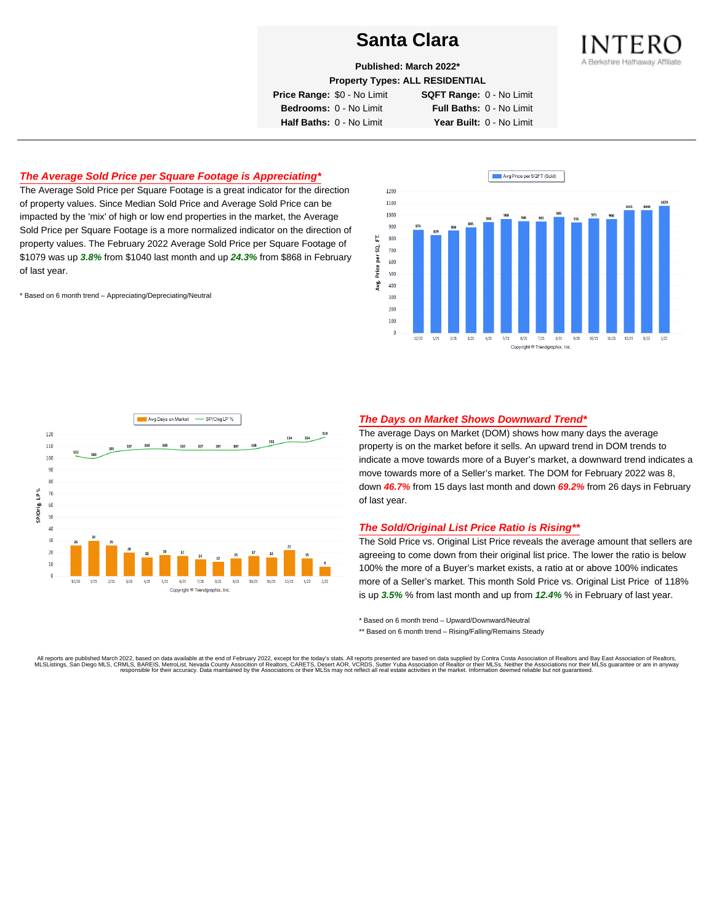

**Published: March 2022\***

**Property Types: ALL RESIDENTIAL**

**Price Range:** \$0 - No Limit **SQFT Range:** 0 - No Limit

**Bedrooms:** 0 - No Limit **Full Baths:** 0 - No Limit **Half Baths:** 0 - No Limit **Year Built:** 0 - No Limit

## **The Average Sold Price per Square Footage is Appreciating\***

The Average Sold Price per Square Footage is a great indicator for the direction of property values. Since Median Sold Price and Average Sold Price can be impacted by the 'mix' of high or low end properties in the market, the Average Sold Price per Square Footage is a more normalized indicator on the direction of property values. The February 2022 Average Sold Price per Square Footage of \$1079 was up **3.8%** from \$1040 last month and up **24.3%** from \$868 in February of last year.

\* Based on 6 month trend – Appreciating/Depreciating/Neutral





### **The Days on Market Shows Downward Trend\***

The average Days on Market (DOM) shows how many days the average property is on the market before it sells. An upward trend in DOM trends to indicate a move towards more of a Buyer's market, a downward trend indicates a move towards more of a Seller's market. The DOM for February 2022 was 8, down **46.7%** from 15 days last month and down **69.2%** from 26 days in February of last year.

### **The Sold/Original List Price Ratio is Rising\*\***

The Sold Price vs. Original List Price reveals the average amount that sellers are agreeing to come down from their original list price. The lower the ratio is below 100% the more of a Buyer's market exists, a ratio at or above 100% indicates more of a Seller's market. This month Sold Price vs. Original List Price of 118% is up **3.5%** % from last month and up from **12.4%** % in February of last year.

\* Based on 6 month trend – Upward/Downward/Neutral

\*\* Based on 6 month trend - Rising/Falling/Remains Steady

All reports are published March 2022, based on data available at the end of February 2022, except for the today's stats. All reports presented are based on data supplied by Contra Costa Association of Realtors and Bay East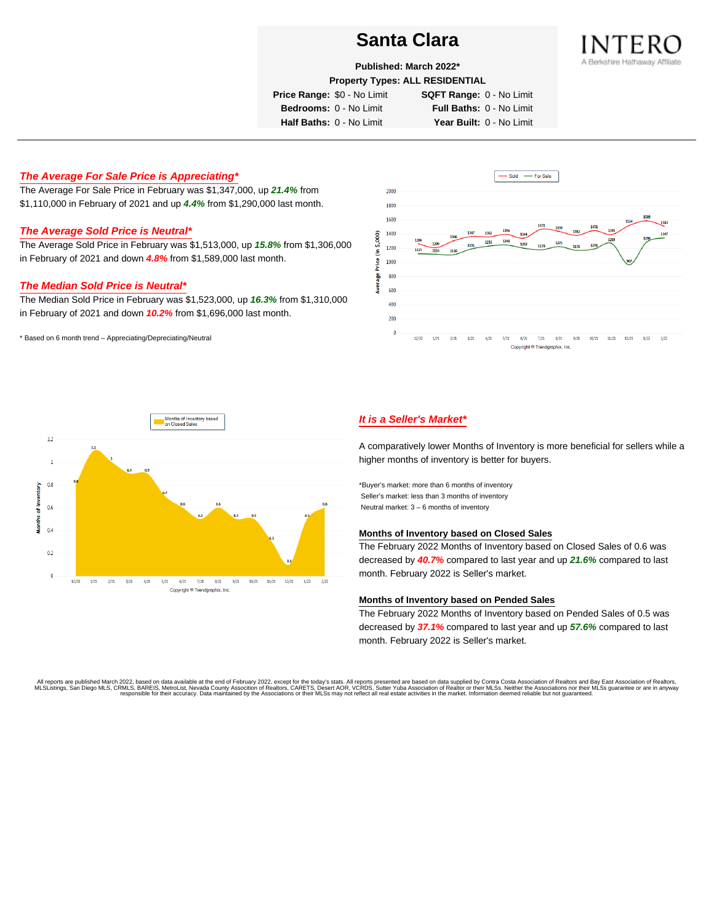

**Published: March 2022\***

**Property Types: ALL RESIDENTIAL**

**Price Range:** \$0 - No Limit **SQFT Range:** 0 - No Limit

**Bedrooms:** 0 - No Limit **Full Baths:** 0 - No Limit **Half Baths:** 0 - No Limit **Year Built:** 0 - No Limit

**The Average For Sale Price is Appreciating\***

The Average For Sale Price in February was \$1,347,000, up **21.4%** from \$1,110,000 in February of 2021 and up **4.4%** from \$1,290,000 last month.

## **The Average Sold Price is Neutral\***

The Average Sold Price in February was \$1,513,000, up **15.8%** from \$1,306,000 in February of 2021 and down **4.8%** from \$1,589,000 last month.

### **The Median Sold Price is Neutral\***

The Median Sold Price in February was \$1,523,000, up **16.3%** from \$1,310,000 in February of 2021 and down **10.2%** from \$1,696,000 last month.

\* Based on 6 month trend – Appreciating/Depreciating/Neutral





## **It is a Seller's Market\***

A comparatively lower Months of Inventory is more beneficial for sellers while a higher months of inventory is better for buyers.

\*Buyer's market: more than 6 months of inventory Seller's market: less than 3 months of inventory Neutral market: 3 – 6 months of inventory

#### **Months of Inventory based on Closed Sales**

The February 2022 Months of Inventory based on Closed Sales of 0.6 was decreased by **40.7%** compared to last year and up **21.6%** compared to last month. February 2022 is Seller's market.

#### **Months of Inventory based on Pended Sales**

The February 2022 Months of Inventory based on Pended Sales of 0.5 was decreased by **37.1%** compared to last year and up **57.6%** compared to last month. February 2022 is Seller's market.

. All reports are published March 2022, based on data available at the end of February 2022, except for the today's stats. All reports presented are based on data supplied by Contra Costa Association of Realtors, San Bread responsible for their accuracy. Data maintained by the Associations or their MLSs may not reflect all real estate activities in the market. Information deemed reliable but not quaranteed